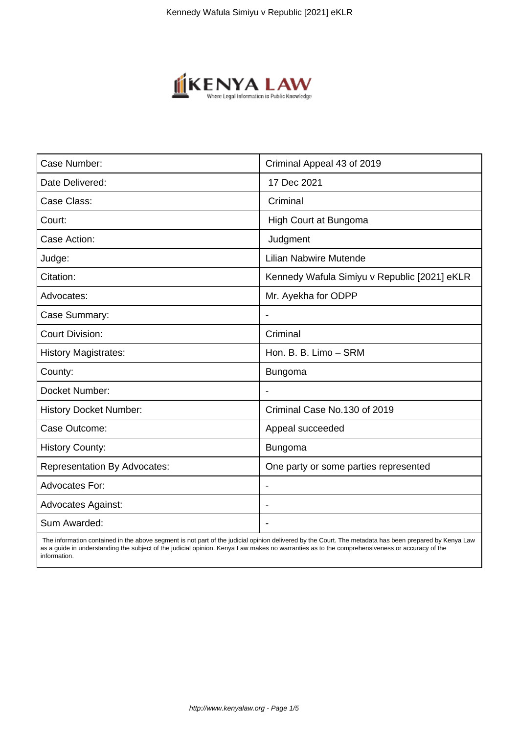

| Case Number:                        | Criminal Appeal 43 of 2019                   |
|-------------------------------------|----------------------------------------------|
| Date Delivered:                     | 17 Dec 2021                                  |
| Case Class:                         | Criminal                                     |
| Court:                              | High Court at Bungoma                        |
| Case Action:                        | Judgment                                     |
| Judge:                              | Lilian Nabwire Mutende                       |
| Citation:                           | Kennedy Wafula Simiyu v Republic [2021] eKLR |
| Advocates:                          | Mr. Ayekha for ODPP                          |
| Case Summary:                       |                                              |
| <b>Court Division:</b>              | Criminal                                     |
| <b>History Magistrates:</b>         | Hon. B. B. Limo - SRM                        |
| County:                             | Bungoma                                      |
| Docket Number:                      |                                              |
| <b>History Docket Number:</b>       | Criminal Case No.130 of 2019                 |
| Case Outcome:                       | Appeal succeeded                             |
| <b>History County:</b>              | <b>Bungoma</b>                               |
| <b>Representation By Advocates:</b> | One party or some parties represented        |
| <b>Advocates For:</b>               | $\overline{\phantom{a}}$                     |
| <b>Advocates Against:</b>           |                                              |
| Sum Awarded:                        |                                              |

 The information contained in the above segment is not part of the judicial opinion delivered by the Court. The metadata has been prepared by Kenya Law as a guide in understanding the subject of the judicial opinion. Kenya Law makes no warranties as to the comprehensiveness or accuracy of the information.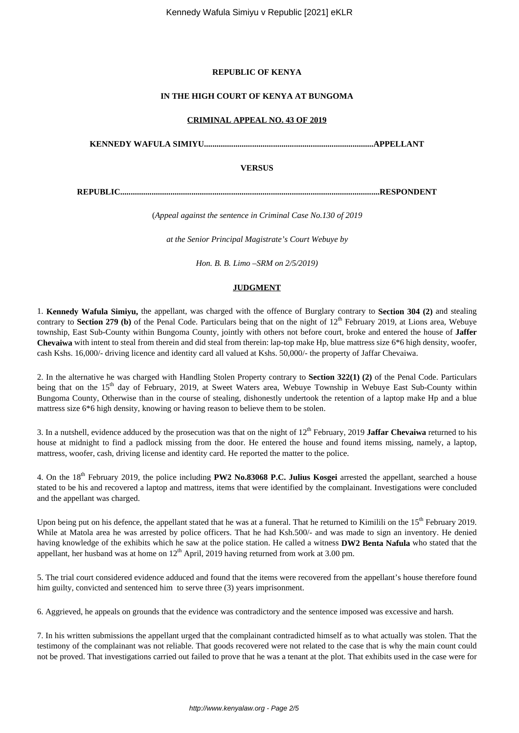## **REPUBLIC OF KENYA**

## **IN THE HIGH COURT OF KENYA AT BUNGOMA**

## **CRIMINAL APPEAL NO. 43 OF 2019**

**KENNEDY WAFULA SIMIYU.................................................................................APPELLANT**

## **VERSUS**

**REPUBLIC............................................................................................................................RESPONDENT**

(*Appeal against the sentence in Criminal Case No.130 of 2019*

*at the Senior Principal Magistrate's Court Webuye by*

*Hon. B. B. Limo –SRM on 2/5/2019)*

## **JUDGMENT**

1. **Kennedy Wafula Simiyu,** the appellant, was charged with the offence of Burglary contrary to **Section 304 (2)** and stealing contrary to **Section 279 (b)** of the Penal Code. Particulars being that on the night of 12<sup>th</sup> February 2019, at Lions area, Webuye township, East Sub-County within Bungoma County, jointly with others not before court, broke and entered the house of **Jaffer Chevaiwa** with intent to steal from therein and did steal from therein: lap-top make Hp, blue mattress size 6\*6 high density, woofer, cash Kshs. 16,000/- driving licence and identity card all valued at Kshs. 50,000/- the property of Jaffar Chevaiwa.

2. In the alternative he was charged with Handling Stolen Property contrary to **Section 322(1) (2)** of the Penal Code. Particulars being that on the 15<sup>th</sup> day of February, 2019, at Sweet Waters area, Webuye Township in Webuye East Sub-County within Bungoma County, Otherwise than in the course of stealing, dishonestly undertook the retention of a laptop make Hp and a blue mattress size 6\*6 high density, knowing or having reason to believe them to be stolen.

3. In a nutshell, evidence adduced by the prosecution was that on the night of 12<sup>th</sup> February, 2019 **Jaffar Chevaiwa** returned to his house at midnight to find a padlock missing from the door. He entered the house and found items missing, namely, a laptop, mattress, woofer, cash, driving license and identity card. He reported the matter to the police.

4. On the 18th February 2019, the police including **PW2 No.83068 P.C. Julius Kosgei** arrested the appellant, searched a house stated to be his and recovered a laptop and mattress, items that were identified by the complainant. Investigations were concluded and the appellant was charged.

Upon being put on his defence, the appellant stated that he was at a funeral. That he returned to Kimilili on the 15<sup>th</sup> February 2019. While at Matola area he was arrested by police officers. That he had Ksh.500/- and was made to sign an inventory. He denied having knowledge of the exhibits which he saw at the police station. He called a witness **DW2 Benta Nafula** who stated that the appellant, her husband was at home on  $12<sup>th</sup>$  April, 2019 having returned from work at 3.00 pm.

5. The trial court considered evidence adduced and found that the items were recovered from the appellant's house therefore found him guilty, convicted and sentenced him to serve three (3) years imprisonment.

6. Aggrieved, he appeals on grounds that the evidence was contradictory and the sentence imposed was excessive and harsh.

7. In his written submissions the appellant urged that the complainant contradicted himself as to what actually was stolen. That the testimony of the complainant was not reliable. That goods recovered were not related to the case that is why the main count could not be proved. That investigations carried out failed to prove that he was a tenant at the plot. That exhibits used in the case were for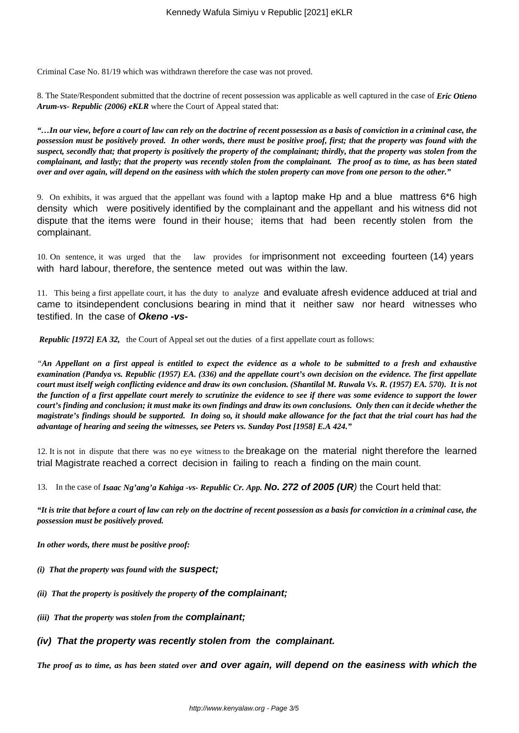Criminal Case No. 81/19 which was withdrawn therefore the case was not proved.

8. The State/Respondent submitted that the doctrine of recent possession was applicable as well captured in the case of *Eric Otieno Arum-vs- Republic (2006) eKLR* where the Court of Appeal stated that:

*"…In our view, before a court of law can rely on the doctrine of recent possession as a basis of conviction in a criminal case, the possession must be positively proved. In other words, there must be positive proof, first; that the property was found with the suspect, secondly that; that property is positively the property of the complainant; thirdly, that the property was stolen from the complainant, and lastly; that the property was recently stolen from the complainant. The proof as to time, as has been stated over and over again, will depend on the easiness with which the stolen property can move from one person to the other."*

9. On exhibits, it was argued that the appellant was found with a laptop make Hp and a blue mattress 6\*6 high density which were positively identified by the complainant and the appellant and his witness did not dispute that the items were found in their house; items that had been recently stolen from the complainant.

10. On sentence, it was urged that the law provides for imprisonment not exceeding fourteen (14) years with hard labour, therefore, the sentence meted out was within the law.

11. This being a first appellate court, it has the duty to analyze and evaluate afresh evidence adduced at trial and came to itsindependent conclusions bearing in mind that it neither saw nor heard witnesses who testified. In the case of **Okeno -vs-**

*Republic [1972] EA 32,* the Court of Appeal set out the duties of a first appellate court as follows:

*"An Appellant on a first appeal is entitled to expect the evidence as a whole to be submitted to a fresh and exhaustive examination (Pandya vs. Republic (1957) EA. (336) and the appellate court's own decision on the evidence. The first appellate court must itself weigh conflicting evidence and draw its own conclusion. (Shantilal M. Ruwala Vs. R. (1957) EA. 570). It is not the function of a first appellate court merely to scrutinize the evidence to see if there was some evidence to support the lower court's finding and conclusion; it must make its own findings and draw its own conclusions. Only then can it decide whether the magistrate's findings should be supported. In doing so, it should make allowance for the fact that the trial court has had the advantage of hearing and seeing the witnesses, see Peters vs. Sunday Post [1958] E.A 424."*

12. It is not in dispute that there was no eye witness to the breakage on the material night therefore the learned trial Magistrate reached a correct decision in failing to reach a finding on the main count.

13. In the case of *Isaac Ng'ang'a Kahiga -vs- Republic Cr. App.* **No. 272 of 2005 (UR**) the Court held that:

*"It is trite that before a court of law can rely on the doctrine of recent possession as a basis for conviction in a criminal case, the possession must be positively proved.* 

*In other words, there must be positive proof:*

- *(i) That the property was found with the* **suspect;**
- *(ii) That the property is positively the property* **of the complainant;**
- *(iii) That the property was stolen from the* **complainant;**
- **(iv) That the property was recently stolen from the complainant.**

*The proof as to time, as has been stated over* **and over again, will depend on the easiness with which the**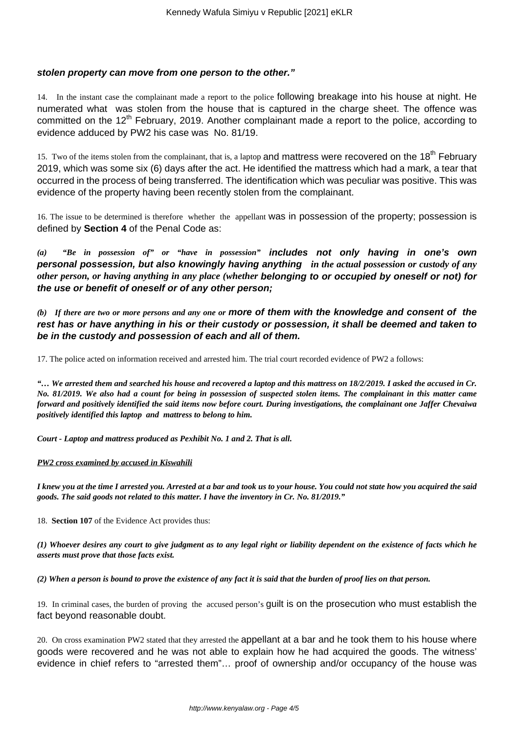## **stolen property can move from one person to the other."**

14. In the instant case the complainant made a report to the police following breakage into his house at night. He numerated what was stolen from the house that is captured in the charge sheet. The offence was committed on the 12<sup>th</sup> February, 2019. Another complainant made a report to the police, according to evidence adduced by PW2 his case was No. 81/19.

15. Two of the items stolen from the complainant, that is, a laptop and mattress were recovered on the 18<sup>th</sup> February 2019, which was some six (6) days after the act. He identified the mattress which had a mark, a tear that occurred in the process of being transferred. The identification which was peculiar was positive. This was evidence of the property having been recently stolen from the complainant.

16. The issue to be determined is therefore whether the appellant was in possession of the property; possession is defined by **Section 4** of the Penal Code as:

*(a) "Be in possession of" or "have in possession"* **includes not only having in one's own personal possession, but also knowingly having anything** *in the actual possession or custody of any other person, or having anything in any place (whether* **belonging to or occupied by oneself or not) for the use or benefit of oneself or of any other person;**

*(b) If there are two or more persons and any one or* **more of them with the knowledge and consent of the rest has or have anything in his or their custody or possession, it shall be deemed and taken to be in the custody and possession of each and all of them.**

17. The police acted on information received and arrested him. The trial court recorded evidence of PW2 a follows:

*"… We arrested them and searched his house and recovered a laptop and this mattress on 18/2/2019. I asked the accused in Cr. No. 81/2019. We also had a count for being in possession of suspected stolen items. The complainant in this matter came forward and positively identified the said items now before court. During investigations, the complainant one Jaffer Chevaiwa positively identified this laptop and mattress to belong to him.*

*Court - Laptop and mattress produced as Pexhibit No. 1 and 2. That is all.* 

## *PW2 cross examined by accused in Kiswahili*

*I knew you at the time I arrested you. Arrested at a bar and took us to your house. You could not state how you acquired the said goods. The said goods not related to this matter. I have the inventory in Cr. No. 81/2019."*

18. **Section 107** of the Evidence Act provides thus:

*(1) Whoever desires any court to give judgment as to any legal right or liability dependent on the existence of facts which he asserts must prove that those facts exist.*

*(2) When a person is bound to prove the existence of any fact it is said that the burden of proof lies on that person.*

19. In criminal cases, the burden of proving the accused person's guilt is on the prosecution who must establish the fact beyond reasonable doubt.

20. On cross examination PW2 stated that they arrested the appellant at a bar and he took them to his house where goods were recovered and he was not able to explain how he had acquired the goods. The witness' evidence in chief refers to "arrested them"… proof of ownership and/or occupancy of the house was